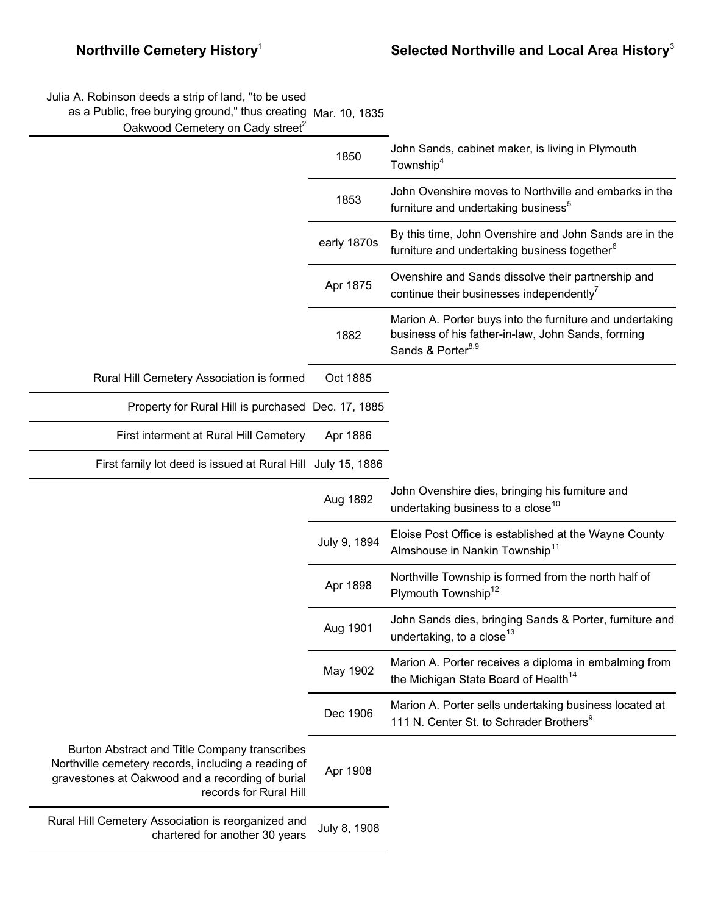Julia A. Robinson deeds a strip of land, "to be used

as a Public, free burying ground," thus creating Mar. 10, 1835

Oakwood Cemetery on Cady street<sup>2</sup>

|                                                                                                                                                                                    | 1850         | John Sands, cabinet maker, is living in Plymouth<br>Township <sup>4</sup>                                                                       |
|------------------------------------------------------------------------------------------------------------------------------------------------------------------------------------|--------------|-------------------------------------------------------------------------------------------------------------------------------------------------|
|                                                                                                                                                                                    | 1853         | John Ovenshire moves to Northville and embarks in the<br>furniture and undertaking business <sup>5</sup>                                        |
|                                                                                                                                                                                    | early 1870s  | By this time, John Ovenshire and John Sands are in the<br>furniture and undertaking business together <sup>6</sup>                              |
|                                                                                                                                                                                    | Apr 1875     | Ovenshire and Sands dissolve their partnership and<br>continue their businesses independently                                                   |
|                                                                                                                                                                                    | 1882         | Marion A. Porter buys into the furniture and undertaking<br>business of his father-in-law, John Sands, forming<br>Sands & Porter <sup>8,9</sup> |
| Rural Hill Cemetery Association is formed                                                                                                                                          | Oct 1885     |                                                                                                                                                 |
| Property for Rural Hill is purchased Dec. 17, 1885                                                                                                                                 |              |                                                                                                                                                 |
| First interment at Rural Hill Cemetery                                                                                                                                             | Apr 1886     |                                                                                                                                                 |
| First family lot deed is issued at Rural Hill July 15, 1886                                                                                                                        |              |                                                                                                                                                 |
|                                                                                                                                                                                    | Aug 1892     | John Ovenshire dies, bringing his furniture and<br>undertaking business to a close <sup>10</sup>                                                |
|                                                                                                                                                                                    | July 9, 1894 | Eloise Post Office is established at the Wayne County<br>Almshouse in Nankin Township <sup>11</sup>                                             |
|                                                                                                                                                                                    | Apr 1898     | Northville Township is formed from the north half of<br>Plymouth Township <sup>12</sup>                                                         |
|                                                                                                                                                                                    | Aug 1901     | John Sands dies, bringing Sands & Porter, furniture and<br>undertaking, to a close <sup>13</sup>                                                |
|                                                                                                                                                                                    | May 1902     | Marion A. Porter receives a diploma in embalming from<br>the Michigan State Board of Health <sup>14</sup>                                       |
|                                                                                                                                                                                    | Dec 1906     | Marion A. Porter sells undertaking business located at<br>111 N. Center St. to Schrader Brothers <sup>9</sup>                                   |
| Burton Abstract and Title Company transcribes<br>Northville cemetery records, including a reading of<br>gravestones at Oakwood and a recording of burial<br>records for Rural Hill | Apr 1908     |                                                                                                                                                 |
| Rural Hill Cemetery Association is reorganized and<br>chartered for another 30 years                                                                                               | July 8, 1908 |                                                                                                                                                 |
|                                                                                                                                                                                    |              |                                                                                                                                                 |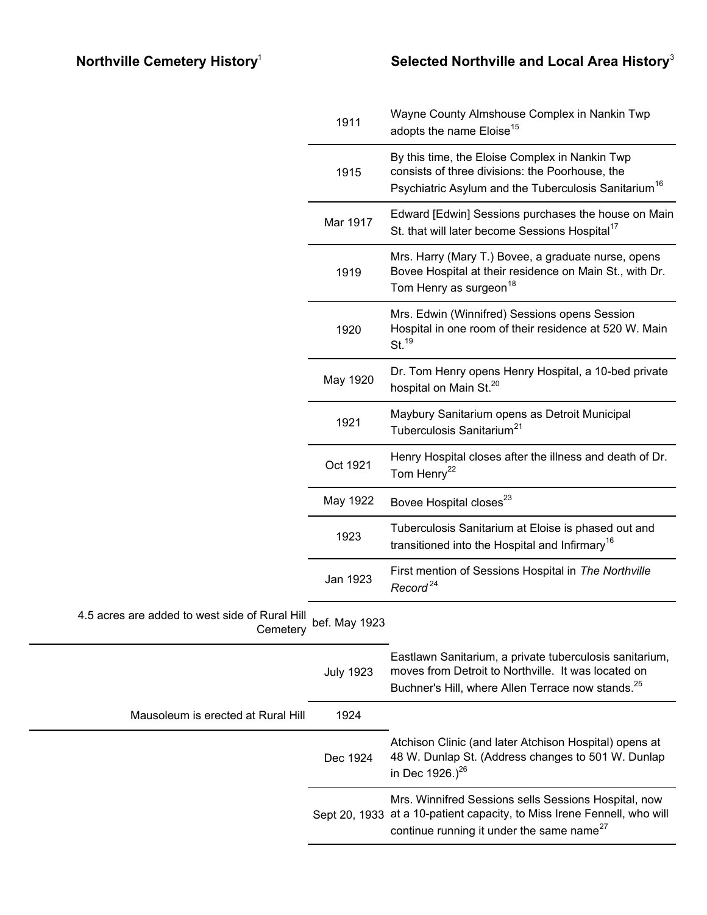|                                                            | 1911             | Wayne County Almshouse Complex in Nankin Twp<br>adopts the name Eloise <sup>15</sup>                                                                                            |
|------------------------------------------------------------|------------------|---------------------------------------------------------------------------------------------------------------------------------------------------------------------------------|
|                                                            | 1915             | By this time, the Eloise Complex in Nankin Twp<br>consists of three divisions: the Poorhouse, the<br>Psychiatric Asylum and the Tuberculosis Sanitarium <sup>16</sup>           |
|                                                            | Mar 1917         | Edward [Edwin] Sessions purchases the house on Main<br>St. that will later become Sessions Hospital <sup>17</sup>                                                               |
|                                                            | 1919             | Mrs. Harry (Mary T.) Bovee, a graduate nurse, opens<br>Bovee Hospital at their residence on Main St., with Dr.<br>Tom Henry as surgeon <sup>18</sup>                            |
|                                                            | 1920             | Mrs. Edwin (Winnifred) Sessions opens Session<br>Hospital in one room of their residence at 520 W. Main<br>St. <sup>19</sup>                                                    |
|                                                            | May 1920         | Dr. Tom Henry opens Henry Hospital, a 10-bed private<br>hospital on Main St. <sup>20</sup>                                                                                      |
|                                                            | 1921             | Maybury Sanitarium opens as Detroit Municipal<br>Tuberculosis Sanitarium <sup>21</sup>                                                                                          |
|                                                            | Oct 1921         | Henry Hospital closes after the illness and death of Dr.<br>Tom Henry <sup>22</sup>                                                                                             |
|                                                            | May 1922         | Bovee Hospital closes <sup>23</sup>                                                                                                                                             |
|                                                            | 1923             | Tuberculosis Sanitarium at Eloise is phased out and<br>transitioned into the Hospital and Infirmary <sup>16</sup>                                                               |
|                                                            | Jan 1923         | First mention of Sessions Hospital in The Northville<br>Record <sup>24</sup>                                                                                                    |
| 4.5 acres are added to west side of Rural Hill<br>Cemetery | bef. May 1923    |                                                                                                                                                                                 |
|                                                            | <b>July 1923</b> | Eastlawn Sanitarium, a private tuberculosis sanitarium,<br>moves from Detroit to Northville. It was located on<br>Buchner's Hill, where Allen Terrace now stands. <sup>25</sup> |
| Mausoleum is erected at Rural Hill                         | 1924             |                                                                                                                                                                                 |
|                                                            | Dec 1924         | Atchison Clinic (and later Atchison Hospital) opens at<br>48 W. Dunlap St. (Address changes to 501 W. Dunlap<br>in Dec 1926.) <sup>26</sup>                                     |
|                                                            | Sept 20, 1933    | Mrs. Winnifred Sessions sells Sessions Hospital, now<br>at a 10-patient capacity, to Miss Irene Fennell, who will<br>continue running it under the same name <sup>27</sup>      |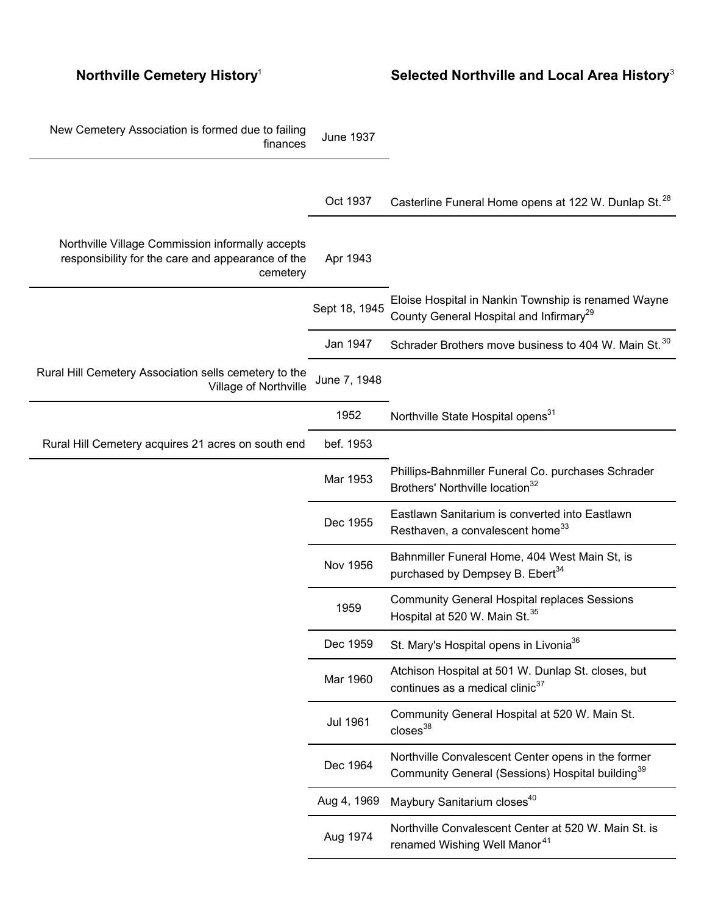## **Northville Cemetery History**<sup>1</sup> **Selected Northville and Local Area History**<sup>3</sup>

| New Cemetery Association is formed due to failing<br>finances                                                     | <b>June 1937</b> |                                                                                                                    |
|-------------------------------------------------------------------------------------------------------------------|------------------|--------------------------------------------------------------------------------------------------------------------|
|                                                                                                                   | Oct 1937         | Casterline Funeral Home opens at 122 W. Dunlap St. <sup>28</sup>                                                   |
| Northville Village Commission informally accepts<br>responsibility for the care and appearance of the<br>cemetery | Apr 1943         |                                                                                                                    |
|                                                                                                                   | Sept 18, 1945    | Eloise Hospital in Nankin Township is renamed Wayne<br>County General Hospital and Infirmary <sup>29</sup>         |
|                                                                                                                   | Jan 1947         | Schrader Brothers move business to 404 W. Main St. <sup>30</sup>                                                   |
| Rural Hill Cemetery Association sells cemetery to the<br>Village of Northville                                    | June 7, 1948     |                                                                                                                    |
|                                                                                                                   | 1952             | Northville State Hospital opens <sup>31</sup>                                                                      |
| Rural Hill Cemetery acquires 21 acres on south end                                                                | bef. 1953        |                                                                                                                    |
|                                                                                                                   | Mar 1953         | Phillips-Bahnmiller Funeral Co. purchases Schrader<br>Brothers' Northville location <sup>32</sup>                  |
|                                                                                                                   | Dec 1955         | Eastlawn Sanitarium is converted into Eastlawn<br>Resthaven, a convalescent home <sup>33</sup>                     |
|                                                                                                                   | <b>Nov 1956</b>  | Bahnmiller Funeral Home, 404 West Main St, is<br>purchased by Dempsey B. Ebert <sup>34</sup>                       |
|                                                                                                                   | 1959             | <b>Community General Hospital replaces Sessions</b><br>Hospital at 520 W. Main St. <sup>35</sup>                   |
|                                                                                                                   | Dec 1959         | St. Mary's Hospital opens in Livonia <sup>36</sup>                                                                 |
|                                                                                                                   | Mar 1960         | Atchison Hospital at 501 W. Dunlap St. closes, but<br>continues as a medical clinic <sup>37</sup>                  |
|                                                                                                                   | <b>Jul 1961</b>  | Community General Hospital at 520 W. Main St.<br>$closes^{38}$                                                     |
|                                                                                                                   | Dec 1964         | Northville Convalescent Center opens in the former<br>Community General (Sessions) Hospital building <sup>39</sup> |
|                                                                                                                   | Aug 4, 1969      | Maybury Sanitarium closes <sup>40</sup>                                                                            |
|                                                                                                                   | Aug 1974         | Northville Convalescent Center at 520 W. Main St. is<br>renamed Wishing Well Manor <sup>41</sup>                   |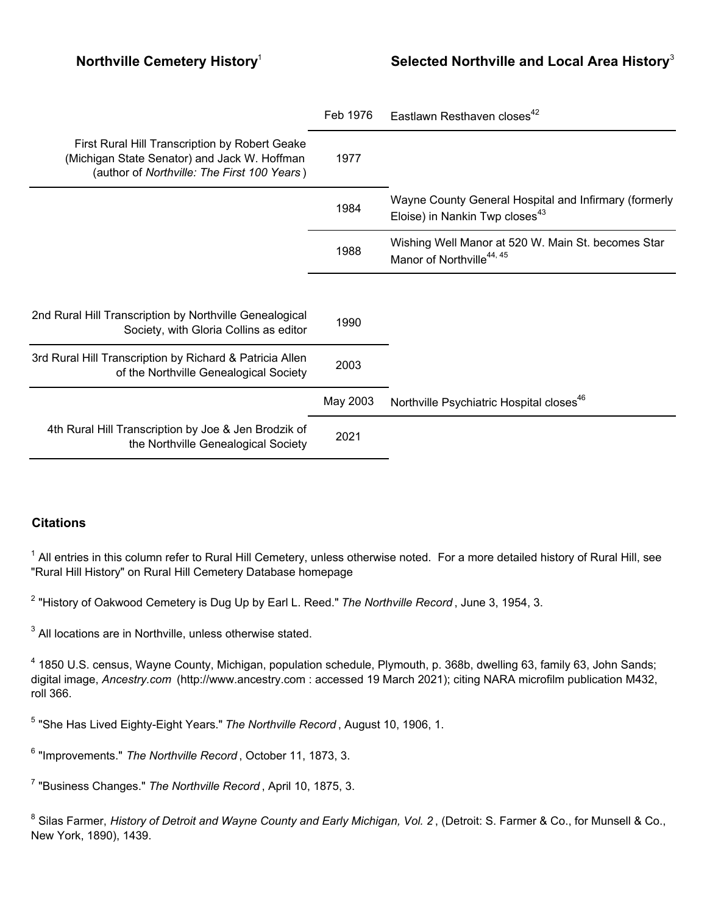|                                                                                                                                               | Feb 1976 | Eastlawn Resthaven closes <sup>42</sup>                                                             |
|-----------------------------------------------------------------------------------------------------------------------------------------------|----------|-----------------------------------------------------------------------------------------------------|
| First Rural Hill Transcription by Robert Geake<br>(Michigan State Senator) and Jack W. Hoffman<br>(author of Northville: The First 100 Years) | 1977     |                                                                                                     |
|                                                                                                                                               | 1984     | Wayne County General Hospital and Infirmary (formerly<br>Eloise) in Nankin Twp closes <sup>43</sup> |
|                                                                                                                                               | 1988     | Wishing Well Manor at 520 W. Main St. becomes Star<br>Manor of Northville <sup>44, 45</sup>         |
|                                                                                                                                               |          |                                                                                                     |
| 2nd Rural Hill Transcription by Northville Genealogical<br>Society, with Gloria Collins as editor                                             | 1990     |                                                                                                     |
| 3rd Rural Hill Transcription by Richard & Patricia Allen<br>of the Northville Genealogical Society                                            | 2003     |                                                                                                     |
|                                                                                                                                               | May 2003 | Northville Psychiatric Hospital closes <sup>46</sup>                                                |
| 4th Rural Hill Transcription by Joe & Jen Brodzik of<br>the Northville Genealogical Society                                                   | 2021     |                                                                                                     |

## **Citations**

 $^{\text{1}}$  All entries in this column refer to Rural Hill Cemetery, unless otherwise noted. For a more detailed history of Rural Hill, see "Rural Hill History" on Rural Hill Cemetery Database homepage

2 "History of Oakwood Cemetery is Dug Up by Earl L. Reed." *The Northville Record* , June 3, 1954, 3.

 $3$  All locations are in Northville, unless otherwise stated.

<sup>4</sup> 1850 U.S. census, Wayne County, Michigan, population schedule, Plymouth, p. 368b, dwelling 63, family 63, John Sands; digital image, *Ancestry.com* (http://www.ancestry.com : accessed 19 March 2021); citing NARA microfilm publication M432, roll 366.

5 "She Has Lived Eighty-Eight Years." *The Northville Record* , August 10, 1906, 1.

6 "Improvements." *The Northville Record* , October 11, 1873, 3.

7 "Business Changes." *The Northville Record* , April 10, 1875, 3.

 $^8$  Silas Farmer, *History of Detroit and Wayne County and Early Michigan, Vol. 2* , (Detroit: S. Farmer & Co., for Munsell & Co., New York, 1890), 1439.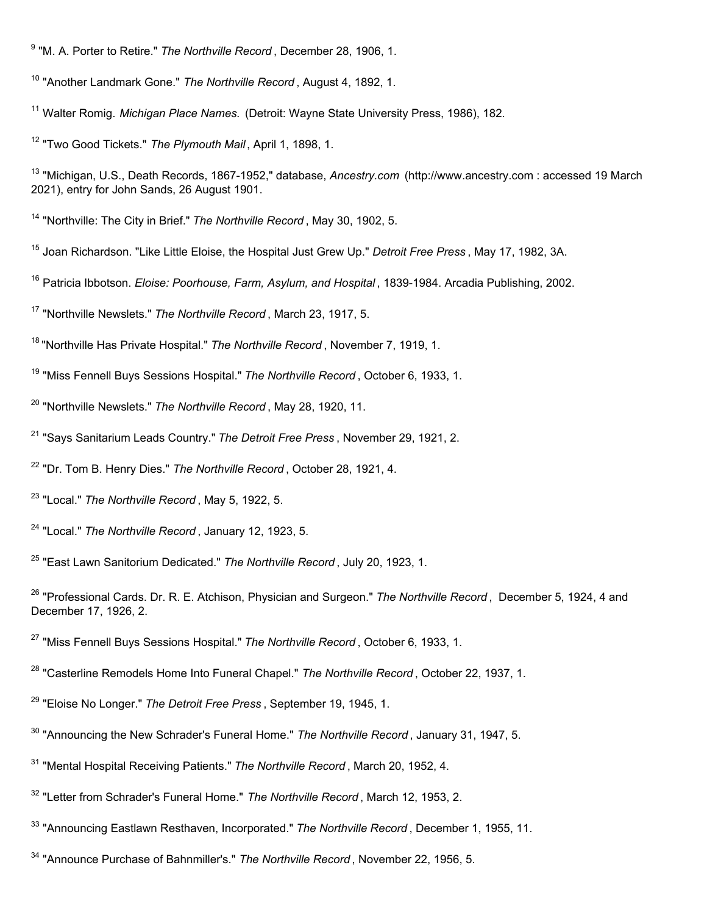"Northville: The City in Brief." *The Northville Record* , May 30, 1902, 5.

- Joan Richardson. "Like Little Eloise, the Hospital Just Grew Up." *Detroit Free Press* , May 17, 1982, 3A.
- Patricia Ibbotson. *Eloise: Poorhouse, Farm, Asylum, and Hospital* , 1839-1984. Arcadia Publishing, 2002.

"Northville Newslets." *The Northville Record* , March 23, 1917, 5.

- "Northville Newslets." *The Northville Record* , May 28, 1920, 11.
- "Says Sanitarium Leads Country." *The Detroit Free Press* , November 29, 1921, 2.
- "Dr. Tom B. Henry Dies." *The Northville Record* , October 28, 1921, 4.
- "Local." *The Northville Record* , May 5, 1922, 5.
- "Local." *The Northville Record* , January 12, 1923, 5.
- "East Lawn Sanitorium Dedicated." *The Northville Record* , July 20, 1923, 1.

- "Casterline Remodels Home Into Funeral Chapel." *The Northville Record* , October 22, 1937, 1.
- "Eloise No Longer." *The Detroit Free Press* , September 19, 1945, 1.
- "Announcing the New Schrader's Funeral Home." *The Northville Record* , January 31, 1947, 5.
- "Mental Hospital Receiving Patients." *The Northville Record* , March 20, 1952, 4.
- "Letter from Schrader's Funeral Home." *The Northville Record* , March 12, 1953, 2.
- "Announcing Eastlawn Resthaven, Incorporated." *The Northville Record* , December 1, 1955, 11.
- "Announce Purchase of Bahnmiller's." *The Northville Record* , November 22, 1956, 5.

"M. A. Porter to Retire." *The Northville Record* , December 28, 1906, 1.

<sup>&</sup>lt;sup>10</sup> "Another Landmark Gone." The Northville Record, August 4, 1892, 1.

Walter Romig. *Michigan Place Names.* (Detroit: Wayne State University Press, 1986), 182.

"Two Good Tickets." *The Plymouth Mail* , April 1, 1898, 1.

 "Michigan, U.S., Death Records, 1867-1952," database, *Ancestry.com* (http://www.ancestry.com : accessed 19 March 2021), entry for John Sands, 26 August 1901.

"Northville Has Private Hospital." *The Northville Record* , November 7, 1919, 1.

"Miss Fennell Buys Sessions Hospital." *The Northville Record* , October 6, 1933, 1.

 "Professional Cards. Dr. R. E. Atchison, Physician and Surgeon." *The Northville Record* , December 5, 1924, 4 and December 17, 1926, 2.

"Miss Fennell Buys Sessions Hospital." *The Northville Record* , October 6, 1933, 1.